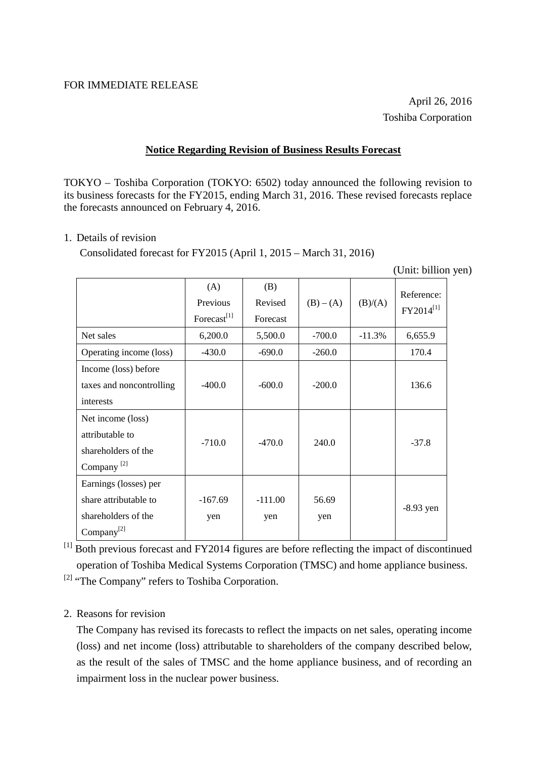## **Notice Regarding Revision of Business Results Forecast**

TOKYO – Toshiba Corporation (TOKYO: 6502) today announced the following revision to its business forecasts for the FY2015, ending March 31, 2016. These revised forecasts replace the forecasts announced on February 4, 2016.

## 1. Details of revision

Consolidated forecast for FY2015 (April 1, 2015 – March 31, 2016)

(Unit: billion yen)

|                                                                                                 | (A)<br>Previous<br>Forecast <sup>[1]</sup> | (B)<br>Revised<br>Forecast | $(B) - (A)$  | (B)/(A)  | Reference:<br>FY2014 <sup>[1]</sup> |
|-------------------------------------------------------------------------------------------------|--------------------------------------------|----------------------------|--------------|----------|-------------------------------------|
| Net sales                                                                                       | 6,200.0                                    | 5,500.0                    | $-700.0$     | $-11.3%$ | 6,655.9                             |
| Operating income (loss)                                                                         | $-430.0$                                   | $-690.0$                   | $-260.0$     |          | 170.4                               |
| Income (loss) before<br>taxes and noncontrolling<br>interests                                   | $-400.0$                                   | $-600.0$                   | $-200.0$     |          | 136.6                               |
| Net income (loss)<br>attributable to<br>shareholders of the<br>Company <sup>[2]</sup>           | $-710.0$                                   | $-470.0$                   | 240.0        |          | $-37.8$                             |
| Earnings (losses) per<br>share attributable to<br>shareholders of the<br>Company <sup>[2]</sup> | $-167.69$<br>yen                           | $-111.00$<br>yen           | 56.69<br>yen |          | $-8.93$ yen                         |

[1] Both previous forecast and FY2014 figures are before reflecting the impact of discontinued operation of Toshiba Medical Systems Corporation (TMSC) and home appliance business.

[2] "The Company" refers to Toshiba Corporation.

# 2. Reasons for revision

The Company has revised its forecasts to reflect the impacts on net sales, operating income (loss) and net income (loss) attributable to shareholders of the company described below, as the result of the sales of TMSC and the home appliance business, and of recording an impairment loss in the nuclear power business.